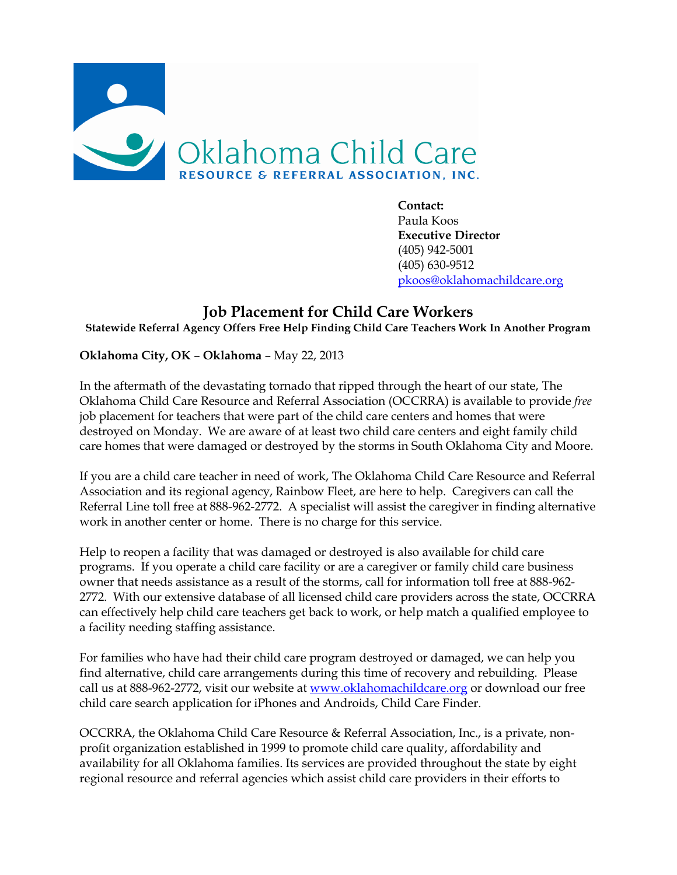

**Contact:** Paula Koos **Executive Director** (405) 942-5001 (405) 630-9512 [pkoos@oklahomachildcare.org](mailto:pkoos@oklahomachildcare.org)

## **Job Placement for Child Care Workers Statewide Referral Agency Offers Free Help Finding Child Care Teachers Work In Another Program**

**Oklahoma City, OK** – **Oklahoma** – May 22, 2013

In the aftermath of the devastating tornado that ripped through the heart of our state, The Oklahoma Child Care Resource and Referral Association (OCCRRA) is available to provide *free* job placement for teachers that were part of the child care centers and homes that were destroyed on Monday. We are aware of at least two child care centers and eight family child care homes that were damaged or destroyed by the storms in South Oklahoma City and Moore.

If you are a child care teacher in need of work, The Oklahoma Child Care Resource and Referral Association and its regional agency, Rainbow Fleet, are here to help. Caregivers can call the Referral Line toll free at 888-962-2772. A specialist will assist the caregiver in finding alternative work in another center or home. There is no charge for this service.

Help to reopen a facility that was damaged or destroyed is also available for child care programs. If you operate a child care facility or are a caregiver or family child care business owner that needs assistance as a result of the storms, call for information toll free at 888-962- 2772. With our extensive database of all licensed child care providers across the state, OCCRRA can effectively help child care teachers get back to work, or help match a qualified employee to a facility needing staffing assistance.

For families who have had their child care program destroyed or damaged, we can help you find alternative, child care arrangements during this time of recovery and rebuilding. Please call us at 888-962-2772, visit our website at [www.oklahomachildcare.org](http://www.oklahomachildcare.org/) or download our free child care search application for iPhones and Androids, Child Care Finder.

OCCRRA, the Oklahoma Child Care Resource & Referral Association, Inc., is a private, nonprofit organization established in 1999 to promote child care quality, affordability and availability for all Oklahoma families. Its services are provided throughout the state by eight regional resource and referral agencies which assist child care providers in their efforts to